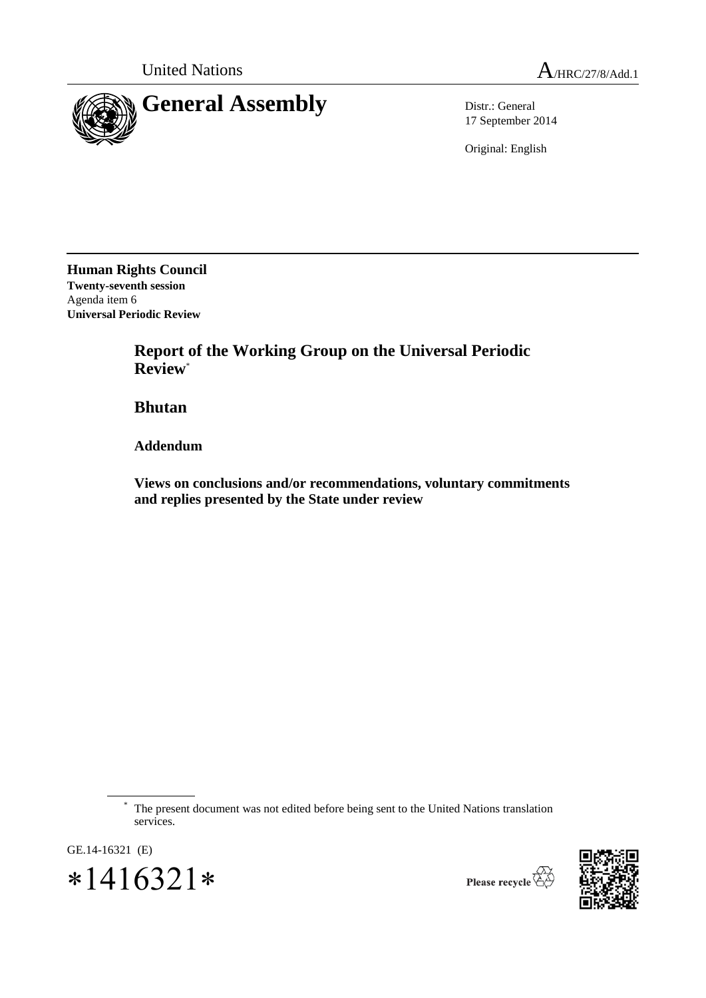

17 September 2014

Original: English

**Human Rights Council Twenty-seventh session** Agenda item 6 **Universal Periodic Review**

> **Report of the Working Group on the Universal Periodic Review**\*

**Bhutan**

**Addendum**

**Views on conclusions and/or recommendations, voluntary commitments and replies presented by the State under review**

GE.14-16321 (E)

 $*1416321*$ 



The present document was not edited before being sent to the United Nations translation services.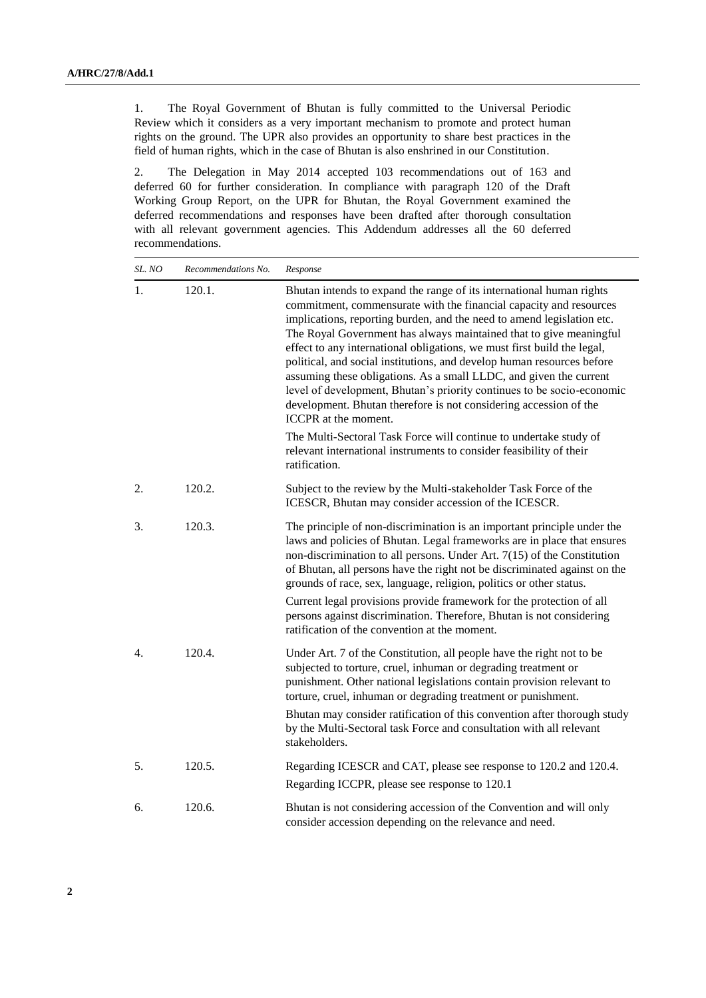1. The Royal Government of Bhutan is fully committed to the Universal Periodic Review which it considers as a very important mechanism to promote and protect human rights on the ground. The UPR also provides an opportunity to share best practices in the field of human rights, which in the case of Bhutan is also enshrined in our Constitution.

2. The Delegation in May 2014 accepted 103 recommendations out of 163 and deferred 60 for further consideration. In compliance with paragraph 120 of the Draft Working Group Report, on the UPR for Bhutan, the Royal Government examined the deferred recommendations and responses have been drafted after thorough consultation with all relevant government agencies. This Addendum addresses all the 60 deferred recommendations.

| SL. NO | Recommendations No. | Response                                                                                                                                                                                                                                                                                                                                                                                                                                                                                                                                                                                                                                                                                     |
|--------|---------------------|----------------------------------------------------------------------------------------------------------------------------------------------------------------------------------------------------------------------------------------------------------------------------------------------------------------------------------------------------------------------------------------------------------------------------------------------------------------------------------------------------------------------------------------------------------------------------------------------------------------------------------------------------------------------------------------------|
| 1.     | 120.1.              | Bhutan intends to expand the range of its international human rights<br>commitment, commensurate with the financial capacity and resources<br>implications, reporting burden, and the need to amend legislation etc.<br>The Royal Government has always maintained that to give meaningful<br>effect to any international obligations, we must first build the legal,<br>political, and social institutions, and develop human resources before<br>assuming these obligations. As a small LLDC, and given the current<br>level of development, Bhutan's priority continues to be socio-economic<br>development. Bhutan therefore is not considering accession of the<br>ICCPR at the moment. |
|        |                     | The Multi-Sectoral Task Force will continue to undertake study of<br>relevant international instruments to consider feasibility of their<br>ratification.                                                                                                                                                                                                                                                                                                                                                                                                                                                                                                                                    |
| 2.     | 120.2.              | Subject to the review by the Multi-stakeholder Task Force of the<br>ICESCR, Bhutan may consider accession of the ICESCR.                                                                                                                                                                                                                                                                                                                                                                                                                                                                                                                                                                     |
| 3.     | 120.3.              | The principle of non-discrimination is an important principle under the<br>laws and policies of Bhutan. Legal frameworks are in place that ensures<br>non-discrimination to all persons. Under Art. $7(15)$ of the Constitution<br>of Bhutan, all persons have the right not be discriminated against on the<br>grounds of race, sex, language, religion, politics or other status.                                                                                                                                                                                                                                                                                                          |
|        |                     | Current legal provisions provide framework for the protection of all<br>persons against discrimination. Therefore, Bhutan is not considering<br>ratification of the convention at the moment.                                                                                                                                                                                                                                                                                                                                                                                                                                                                                                |
| 4.     | 120.4.              | Under Art. 7 of the Constitution, all people have the right not to be<br>subjected to torture, cruel, inhuman or degrading treatment or<br>punishment. Other national legislations contain provision relevant to<br>torture, cruel, inhuman or degrading treatment or punishment.                                                                                                                                                                                                                                                                                                                                                                                                            |
|        |                     | Bhutan may consider ratification of this convention after thorough study<br>by the Multi-Sectoral task Force and consultation with all relevant<br>stakeholders.                                                                                                                                                                                                                                                                                                                                                                                                                                                                                                                             |
| 5.     | 120.5.              | Regarding ICESCR and CAT, please see response to 120.2 and 120.4.<br>Regarding ICCPR, please see response to 120.1                                                                                                                                                                                                                                                                                                                                                                                                                                                                                                                                                                           |
| 6.     | 120.6.              | Bhutan is not considering accession of the Convention and will only<br>consider accession depending on the relevance and need.                                                                                                                                                                                                                                                                                                                                                                                                                                                                                                                                                               |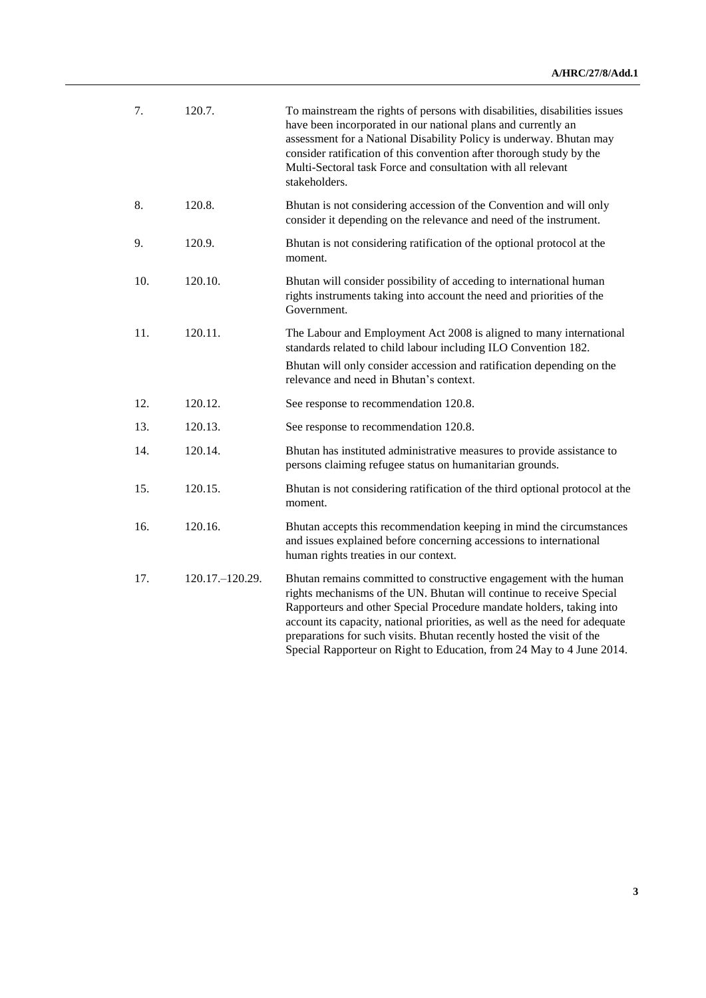| 7.  | 120.7.            | To mainstream the rights of persons with disabilities, disabilities issues<br>have been incorporated in our national plans and currently an<br>assessment for a National Disability Policy is underway. Bhutan may<br>consider ratification of this convention after thorough study by the<br>Multi-Sectoral task Force and consultation with all relevant<br>stakeholders.                                                                         |
|-----|-------------------|-----------------------------------------------------------------------------------------------------------------------------------------------------------------------------------------------------------------------------------------------------------------------------------------------------------------------------------------------------------------------------------------------------------------------------------------------------|
| 8.  | 120.8.            | Bhutan is not considering accession of the Convention and will only<br>consider it depending on the relevance and need of the instrument.                                                                                                                                                                                                                                                                                                           |
| 9.  | 120.9.            | Bhutan is not considering ratification of the optional protocol at the<br>moment.                                                                                                                                                                                                                                                                                                                                                                   |
| 10. | 120.10.           | Bhutan will consider possibility of acceding to international human<br>rights instruments taking into account the need and priorities of the<br>Government.                                                                                                                                                                                                                                                                                         |
| 11. | 120.11.           | The Labour and Employment Act 2008 is aligned to many international<br>standards related to child labour including ILO Convention 182.<br>Bhutan will only consider accession and ratification depending on the<br>relevance and need in Bhutan's context.                                                                                                                                                                                          |
| 12. | 120.12.           | See response to recommendation 120.8.                                                                                                                                                                                                                                                                                                                                                                                                               |
| 13. | 120.13.           | See response to recommendation 120.8.                                                                                                                                                                                                                                                                                                                                                                                                               |
| 14. | 120.14.           | Bhutan has instituted administrative measures to provide assistance to                                                                                                                                                                                                                                                                                                                                                                              |
|     |                   | persons claiming refugee status on humanitarian grounds.                                                                                                                                                                                                                                                                                                                                                                                            |
| 15. | 120.15.           | Bhutan is not considering ratification of the third optional protocol at the<br>moment.                                                                                                                                                                                                                                                                                                                                                             |
| 16. | 120.16.           | Bhutan accepts this recommendation keeping in mind the circumstances<br>and issues explained before concerning accessions to international<br>human rights treaties in our context.                                                                                                                                                                                                                                                                 |
| 17. | 120.17. - 120.29. | Bhutan remains committed to constructive engagement with the human<br>rights mechanisms of the UN. Bhutan will continue to receive Special<br>Rapporteurs and other Special Procedure mandate holders, taking into<br>account its capacity, national priorities, as well as the need for adequate<br>preparations for such visits. Bhutan recently hosted the visit of the<br>Special Rapporteur on Right to Education, from 24 May to 4 June 2014. |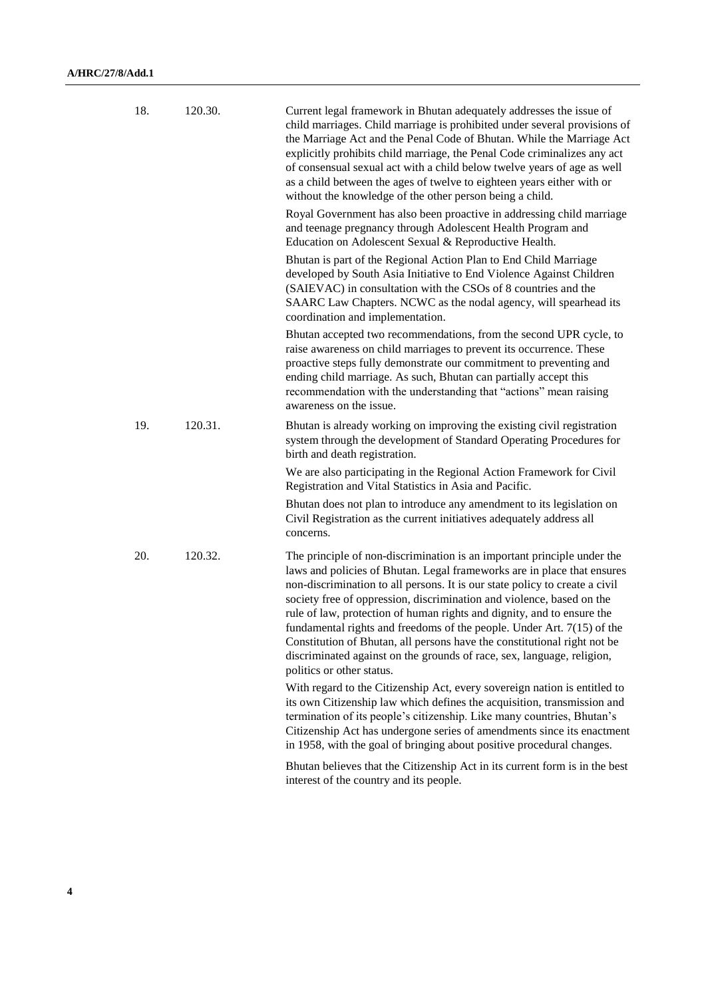| 18. | 120.30. | Current legal framework in Bhutan adequately addresses the issue of<br>child marriages. Child marriage is prohibited under several provisions of<br>the Marriage Act and the Penal Code of Bhutan. While the Marriage Act<br>explicitly prohibits child marriage, the Penal Code criminalizes any act<br>of consensual sexual act with a child below twelve years of age as well<br>as a child between the ages of twelve to eighteen years either with or<br>without the knowledge of the other person being a child.                                                                                                                              |
|-----|---------|-----------------------------------------------------------------------------------------------------------------------------------------------------------------------------------------------------------------------------------------------------------------------------------------------------------------------------------------------------------------------------------------------------------------------------------------------------------------------------------------------------------------------------------------------------------------------------------------------------------------------------------------------------|
|     |         | Royal Government has also been proactive in addressing child marriage<br>and teenage pregnancy through Adolescent Health Program and<br>Education on Adolescent Sexual & Reproductive Health.                                                                                                                                                                                                                                                                                                                                                                                                                                                       |
|     |         | Bhutan is part of the Regional Action Plan to End Child Marriage<br>developed by South Asia Initiative to End Violence Against Children<br>(SAIEVAC) in consultation with the CSOs of 8 countries and the<br>SAARC Law Chapters. NCWC as the nodal agency, will spearhead its<br>coordination and implementation.                                                                                                                                                                                                                                                                                                                                   |
|     |         | Bhutan accepted two recommendations, from the second UPR cycle, to<br>raise awareness on child marriages to prevent its occurrence. These<br>proactive steps fully demonstrate our commitment to preventing and<br>ending child marriage. As such, Bhutan can partially accept this<br>recommendation with the understanding that "actions" mean raising<br>awareness on the issue.                                                                                                                                                                                                                                                                 |
| 19. | 120.31. | Bhutan is already working on improving the existing civil registration<br>system through the development of Standard Operating Procedures for<br>birth and death registration.                                                                                                                                                                                                                                                                                                                                                                                                                                                                      |
|     |         | We are also participating in the Regional Action Framework for Civil<br>Registration and Vital Statistics in Asia and Pacific.                                                                                                                                                                                                                                                                                                                                                                                                                                                                                                                      |
|     |         | Bhutan does not plan to introduce any amendment to its legislation on<br>Civil Registration as the current initiatives adequately address all<br>concerns.                                                                                                                                                                                                                                                                                                                                                                                                                                                                                          |
| 20. | 120.32. | The principle of non-discrimination is an important principle under the<br>laws and policies of Bhutan. Legal frameworks are in place that ensures<br>non-discrimination to all persons. It is our state policy to create a civil<br>society free of oppression, discrimination and violence, based on the<br>rule of law, protection of human rights and dignity, and to ensure the<br>fundamental rights and freedoms of the people. Under Art. $7(15)$ of the<br>Constitution of Bhutan, all persons have the constitutional right not be<br>discriminated against on the grounds of race, sex, language, religion,<br>politics or other status. |
|     |         | With regard to the Citizenship Act, every sovereign nation is entitled to<br>its own Citizenship law which defines the acquisition, transmission and<br>termination of its people's citizenship. Like many countries, Bhutan's<br>Citizenship Act has undergone series of amendments since its enactment<br>in 1958, with the goal of bringing about positive procedural changes.                                                                                                                                                                                                                                                                   |
|     |         | Bhutan believes that the Citizenship Act in its current form is in the best<br>interest of the country and its people.                                                                                                                                                                                                                                                                                                                                                                                                                                                                                                                              |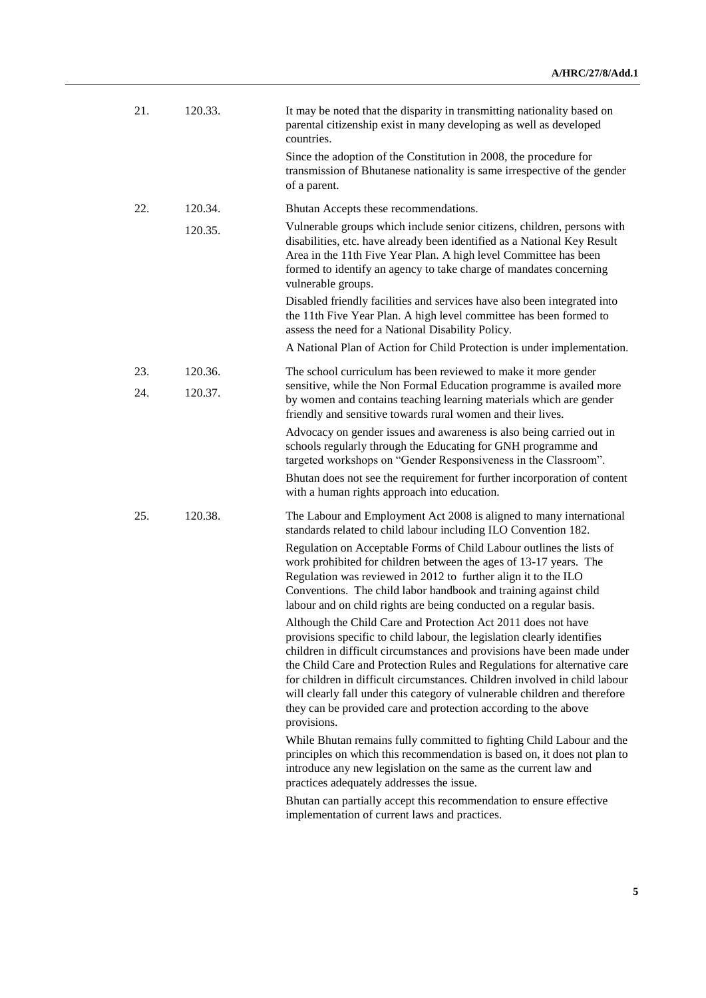| 21. | 120.33. | It may be noted that the disparity in transmitting nationality based on<br>parental citizenship exist in many developing as well as developed<br>countries.                                                                                                                                                                                                                                                                                                                                                                                   |
|-----|---------|-----------------------------------------------------------------------------------------------------------------------------------------------------------------------------------------------------------------------------------------------------------------------------------------------------------------------------------------------------------------------------------------------------------------------------------------------------------------------------------------------------------------------------------------------|
|     |         | Since the adoption of the Constitution in 2008, the procedure for<br>transmission of Bhutanese nationality is same irrespective of the gender<br>of a parent.                                                                                                                                                                                                                                                                                                                                                                                 |
| 22. | 120.34. | Bhutan Accepts these recommendations.                                                                                                                                                                                                                                                                                                                                                                                                                                                                                                         |
|     | 120.35. | Vulnerable groups which include senior citizens, children, persons with<br>disabilities, etc. have already been identified as a National Key Result<br>Area in the 11th Five Year Plan. A high level Committee has been<br>formed to identify an agency to take charge of mandates concerning<br>vulnerable groups.                                                                                                                                                                                                                           |
|     |         | Disabled friendly facilities and services have also been integrated into<br>the 11th Five Year Plan. A high level committee has been formed to<br>assess the need for a National Disability Policy.                                                                                                                                                                                                                                                                                                                                           |
|     |         | A National Plan of Action for Child Protection is under implementation.                                                                                                                                                                                                                                                                                                                                                                                                                                                                       |
| 23. | 120.36. | The school curriculum has been reviewed to make it more gender<br>sensitive, while the Non Formal Education programme is availed more                                                                                                                                                                                                                                                                                                                                                                                                         |
| 24. | 120.37. | by women and contains teaching learning materials which are gender<br>friendly and sensitive towards rural women and their lives.                                                                                                                                                                                                                                                                                                                                                                                                             |
|     |         | Advocacy on gender issues and awareness is also being carried out in<br>schools regularly through the Educating for GNH programme and<br>targeted workshops on "Gender Responsiveness in the Classroom".                                                                                                                                                                                                                                                                                                                                      |
|     |         | Bhutan does not see the requirement for further incorporation of content<br>with a human rights approach into education.                                                                                                                                                                                                                                                                                                                                                                                                                      |
| 25. | 120.38. | The Labour and Employment Act 2008 is aligned to many international<br>standards related to child labour including ILO Convention 182.                                                                                                                                                                                                                                                                                                                                                                                                        |
|     |         | Regulation on Acceptable Forms of Child Labour outlines the lists of<br>work prohibited for children between the ages of 13-17 years. The<br>Regulation was reviewed in 2012 to further align it to the ILO<br>Conventions. The child labor handbook and training against child<br>labour and on child rights are being conducted on a regular basis.                                                                                                                                                                                         |
|     |         | Although the Child Care and Protection Act 2011 does not have<br>provisions specific to child labour, the legislation clearly identifies<br>children in difficult circumstances and provisions have been made under<br>the Child Care and Protection Rules and Regulations for alternative care<br>for children in difficult circumstances. Children involved in child labour<br>will clearly fall under this category of vulnerable children and therefore<br>they can be provided care and protection according to the above<br>provisions. |
|     |         | While Bhutan remains fully committed to fighting Child Labour and the<br>principles on which this recommendation is based on, it does not plan to<br>introduce any new legislation on the same as the current law and<br>practices adequately addresses the issue.                                                                                                                                                                                                                                                                            |
|     |         | Bhutan can partially accept this recommendation to ensure effective<br>implementation of current laws and practices.                                                                                                                                                                                                                                                                                                                                                                                                                          |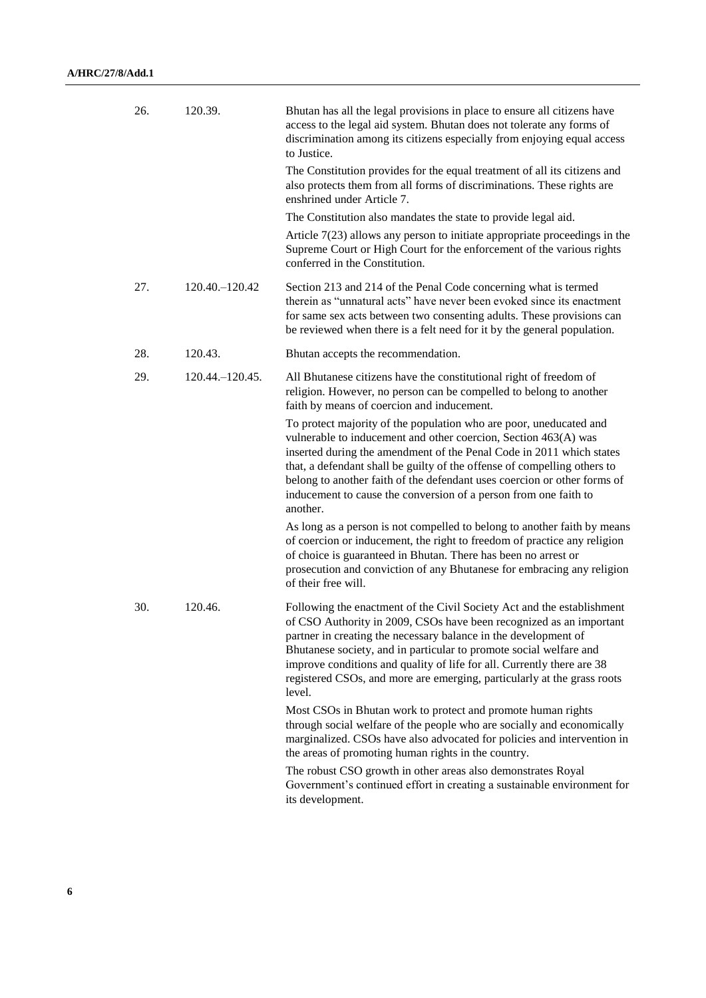| 26. | 120.39.           | Bhutan has all the legal provisions in place to ensure all citizens have<br>access to the legal aid system. Bhutan does not tolerate any forms of<br>discrimination among its citizens especially from enjoying equal access<br>to Justice.                                                                                                                                                                                                           |
|-----|-------------------|-------------------------------------------------------------------------------------------------------------------------------------------------------------------------------------------------------------------------------------------------------------------------------------------------------------------------------------------------------------------------------------------------------------------------------------------------------|
|     |                   | The Constitution provides for the equal treatment of all its citizens and<br>also protects them from all forms of discriminations. These rights are<br>enshrined under Article 7.                                                                                                                                                                                                                                                                     |
|     |                   | The Constitution also mandates the state to provide legal aid.                                                                                                                                                                                                                                                                                                                                                                                        |
|     |                   | Article $7(23)$ allows any person to initiate appropriate proceedings in the<br>Supreme Court or High Court for the enforcement of the various rights<br>conferred in the Constitution.                                                                                                                                                                                                                                                               |
| 27. | 120.40. - 120.42  | Section 213 and 214 of the Penal Code concerning what is termed<br>therein as "unnatural acts" have never been evoked since its enactment<br>for same sex acts between two consenting adults. These provisions can<br>be reviewed when there is a felt need for it by the general population.                                                                                                                                                         |
| 28. | 120.43.           | Bhutan accepts the recommendation.                                                                                                                                                                                                                                                                                                                                                                                                                    |
| 29. | 120.44. - 120.45. | All Bhutanese citizens have the constitutional right of freedom of<br>religion. However, no person can be compelled to belong to another<br>faith by means of coercion and inducement.                                                                                                                                                                                                                                                                |
|     |                   | To protect majority of the population who are poor, uneducated and<br>vulnerable to inducement and other coercion, Section 463(A) was<br>inserted during the amendment of the Penal Code in 2011 which states<br>that, a defendant shall be guilty of the offense of compelling others to<br>belong to another faith of the defendant uses coercion or other forms of<br>inducement to cause the conversion of a person from one faith to<br>another. |
|     |                   | As long as a person is not compelled to belong to another faith by means<br>of coercion or inducement, the right to freedom of practice any religion<br>of choice is guaranteed in Bhutan. There has been no arrest or<br>prosecution and conviction of any Bhutanese for embracing any religion<br>of their free will.                                                                                                                               |
| 30. | 120.46.           | Following the enactment of the Civil Society Act and the establishment<br>of CSO Authority in 2009, CSOs have been recognized as an important<br>partner in creating the necessary balance in the development of<br>Bhutanese society, and in particular to promote social welfare and<br>improve conditions and quality of life for all. Currently there are 38<br>registered CSOs, and more are emerging, particularly at the grass roots<br>level. |
|     |                   | Most CSOs in Bhutan work to protect and promote human rights<br>through social welfare of the people who are socially and economically<br>marginalized. CSOs have also advocated for policies and intervention in<br>the areas of promoting human rights in the country.                                                                                                                                                                              |
|     |                   | The robust CSO growth in other areas also demonstrates Royal<br>Government's continued effort in creating a sustainable environment for<br>its development.                                                                                                                                                                                                                                                                                           |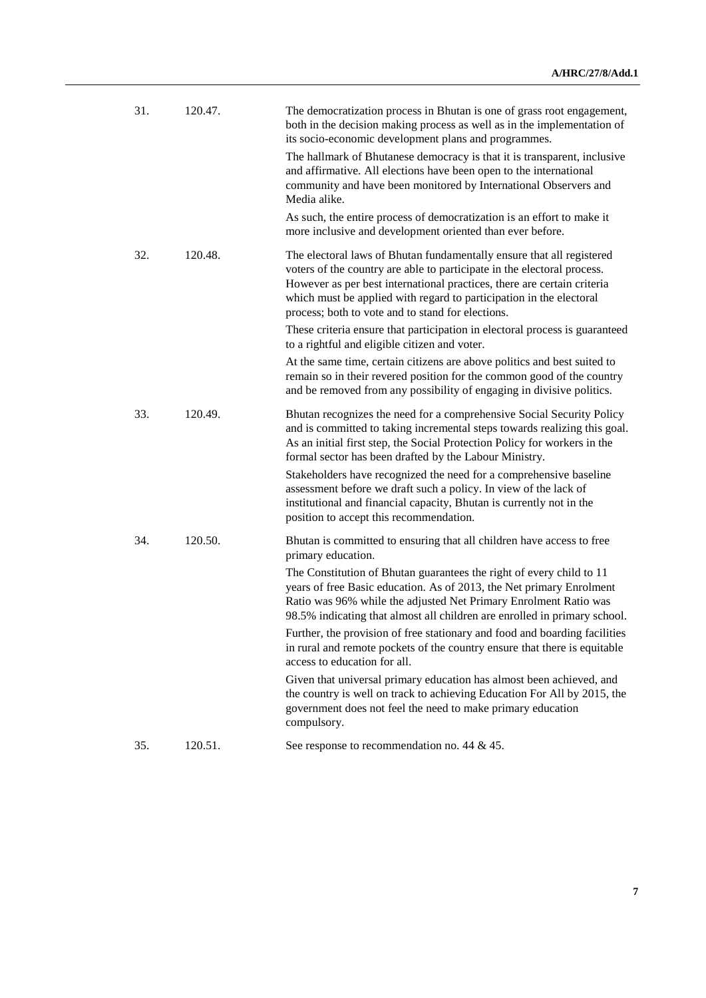| 31. | 120.47. | The democratization process in Bhutan is one of grass root engagement,<br>both in the decision making process as well as in the implementation of<br>its socio-economic development plans and programmes.                                                                                                                                               |
|-----|---------|---------------------------------------------------------------------------------------------------------------------------------------------------------------------------------------------------------------------------------------------------------------------------------------------------------------------------------------------------------|
|     |         | The hallmark of Bhutanese democracy is that it is transparent, inclusive<br>and affirmative. All elections have been open to the international<br>community and have been monitored by International Observers and<br>Media alike.                                                                                                                      |
|     |         | As such, the entire process of democratization is an effort to make it<br>more inclusive and development oriented than ever before.                                                                                                                                                                                                                     |
| 32. | 120.48. | The electoral laws of Bhutan fundamentally ensure that all registered<br>voters of the country are able to participate in the electoral process.<br>However as per best international practices, there are certain criteria<br>which must be applied with regard to participation in the electoral<br>process; both to vote and to stand for elections. |
|     |         | These criteria ensure that participation in electoral process is guaranteed<br>to a rightful and eligible citizen and voter.                                                                                                                                                                                                                            |
|     |         | At the same time, certain citizens are above politics and best suited to<br>remain so in their revered position for the common good of the country<br>and be removed from any possibility of engaging in divisive politics.                                                                                                                             |
| 33. | 120.49. | Bhutan recognizes the need for a comprehensive Social Security Policy<br>and is committed to taking incremental steps towards realizing this goal.<br>As an initial first step, the Social Protection Policy for workers in the<br>formal sector has been drafted by the Labour Ministry.                                                               |
|     |         | Stakeholders have recognized the need for a comprehensive baseline<br>assessment before we draft such a policy. In view of the lack of<br>institutional and financial capacity, Bhutan is currently not in the<br>position to accept this recommendation.                                                                                               |
| 34. | 120.50. | Bhutan is committed to ensuring that all children have access to free<br>primary education.                                                                                                                                                                                                                                                             |
|     |         | The Constitution of Bhutan guarantees the right of every child to 11<br>years of free Basic education. As of 2013, the Net primary Enrolment<br>Ratio was 96% while the adjusted Net Primary Enrolment Ratio was<br>98.5% indicating that almost all children are enrolled in primary school.                                                           |
|     |         | Further, the provision of free stationary and food and boarding facilities<br>in rural and remote pockets of the country ensure that there is equitable<br>access to education for all.                                                                                                                                                                 |
|     |         | Given that universal primary education has almost been achieved, and<br>the country is well on track to achieving Education For All by 2015, the<br>government does not feel the need to make primary education<br>compulsory.                                                                                                                          |
| 35. | 120.51. | See response to recommendation no. 44 $&$ 45.                                                                                                                                                                                                                                                                                                           |